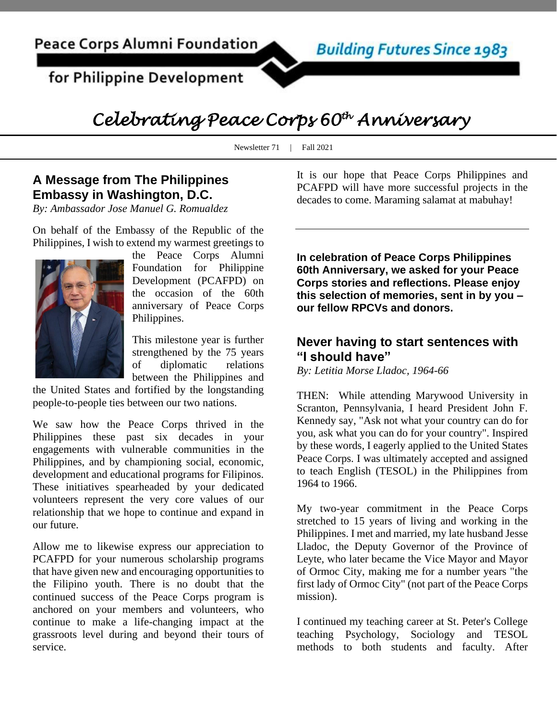for Philippine Development



# *Celebrating Peace Corps 60th Anniversary*

Newsletter 71 | Fall 2021

#### **A Message from The Philippines Embassy in Washington, D.C.**

*By: Ambassador Jose Manuel G. Romualdez*

On behalf of the Embassy of the Republic of the Philippines, I wish to extend my warmest greetings to



the Peace Corps Alumni Foundation for Philippine Development (PCAFPD) on the occasion of the 60th anniversary of Peace Corps Philippines.

This milestone year is further strengthened by the 75 years of diplomatic relations between the Philippines and

the United States and fortified by the longstanding people-to-people ties between our two nations.

We saw how the Peace Corps thrived in the Philippines these past six decades in your engagements with vulnerable communities in the Philippines, and by championing social, economic, development and educational programs for Filipinos. These initiatives spearheaded by your dedicated volunteers represent the very core values of our relationship that we hope to continue and expand in our future.

Allow me to likewise express our appreciation to PCAFPD for your numerous scholarship programs that have given new and encouraging opportunities to the Filipino youth. There is no doubt that the continued success of the Peace Corps program is anchored on your members and volunteers, who continue to make a life-changing impact at the grassroots level during and beyond their tours of service.

It is our hope that Peace Corps Philippines and PCAFPD will have more successful projects in the decades to come. Maraming salamat at mabuhay!

**In celebration of Peace Corps Philippines 60th Anniversary, we asked for your Peace Corps stories and reflections. Please enjoy this selection of memories, sent in by you – our fellow RPCVs and donors.**

#### **Never having to start sentences with "I should have"**

*By: Letitia Morse Lladoc, 1964-66*

THEN: While attending Marywood University in Scranton, Pennsylvania, I heard President John F. Kennedy say, "Ask not what your country can do for you, ask what you can do for your country". Inspired by these words, I eagerly applied to the United States Peace Corps. I was ultimately accepted and assigned to teach English (TESOL) in the Philippines from 1964 to 1966.

My two-year commitment in the Peace Corps stretched to 15 years of living and working in the Philippines. I met and married, my late husband Jesse Lladoc, the Deputy Governor of the Province of Leyte, who later became the Vice Mayor and Mayor of Ormoc City, making me for a number years "the first lady of Ormoc City" (not part of the Peace Corps mission).

I continued my teaching career at St. Peter's College teaching Psychology, Sociology and TESOL methods to both students and faculty. After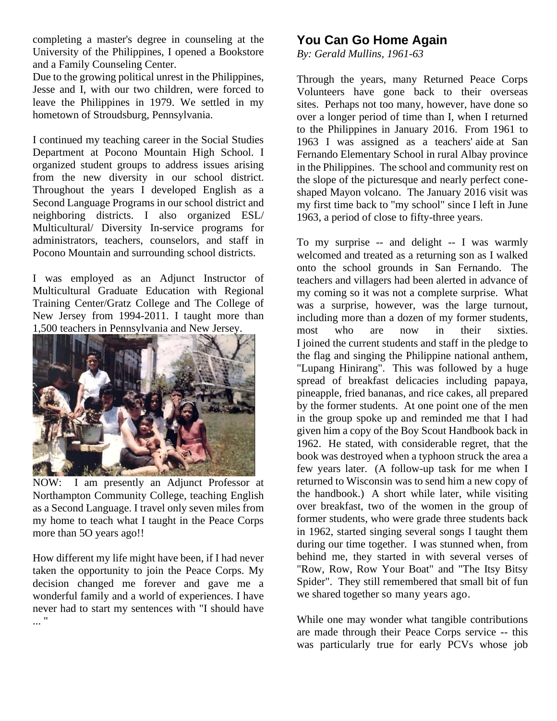completing a master's degree in counseling at the University of the Philippines, I opened a Bookstore and a Family Counseling Center.

Due to the growing political unrest in the Philippines, Jesse and I, with our two children, were forced to leave the Philippines in 1979. We settled in my hometown of Stroudsburg, Pennsylvania.

I continued my teaching career in the Social Studies Department at Pocono Mountain High School. I organized student groups to address issues arising from the new diversity in our school district. Throughout the years I developed English as a Second Language Programs in our school district and neighboring districts. I also organized ESL/ Multicultural/ Diversity In-service programs for administrators, teachers, counselors, and staff in Pocono Mountain and surrounding school districts.

I was employed as an Adjunct Instructor of Multicultural Graduate Education with Regional Training Center/Gratz College and The College of New Jersey from 1994-2011. I taught more than 1,500 teachers in Pennsylvania and New Jersey.



NOW: I am presently an Adjunct Professor at Northampton Community College, teaching English as a Second Language. I travel only seven miles from my home to teach what I taught in the Peace Corps more than 5O years ago!!

How different my life might have been, if I had never taken the opportunity to join the Peace Corps. My decision changed me forever and gave me a wonderful family and a world of experiences. I have never had to start my sentences with "I should have ... "

### **You Can Go Home Again**

*By: Gerald Mullins, 1961-63*

Through the years, many Returned Peace Corps Volunteers have gone back to their overseas sites. Perhaps not too many, however, have done so over a longer period of time than I, when I returned to the Philippines in January 2016. From 1961 to 1963 I was assigned as a teachers' aide at San Fernando Elementary School in rural Albay province in the Philippines. The school and community rest on the slope of the picturesque and nearly perfect coneshaped Mayon volcano. The January 2016 visit was my first time back to "my school" since I left in June 1963, a period of close to fifty-three years.

To my surprise -- and delight -- I was warmly welcomed and treated as a returning son as I walked onto the school grounds in San Fernando. The teachers and villagers had been alerted in advance of my coming so it was not a complete surprise. What was a surprise, however, was the large turnout, including more than a dozen of my former students, most who are now in their sixties. I joined the current students and staff in the pledge to the flag and singing the Philippine national anthem, "Lupang Hinirang". This was followed by a huge spread of breakfast delicacies including papaya, pineapple, fried bananas, and rice cakes, all prepared by the former students. At one point one of the men in the group spoke up and reminded me that I had given him a copy of the Boy Scout Handbook back in 1962. He stated, with considerable regret, that the book was destroyed when a typhoon struck the area a few years later. (A follow-up task for me when I returned to Wisconsin was to send him a new copy of the handbook.) A short while later, while visiting over breakfast, two of the women in the group of former students, who were grade three students back in 1962, started singing several songs I taught them during our time together. I was stunned when, from behind me, they started in with several verses of "Row, Row, Row Your Boat" and "The Itsy Bitsy Spider". They still remembered that small bit of fun we shared together so many years ago.

While one may wonder what tangible contributions are made through their Peace Corps service -- this was particularly true for early PCVs whose job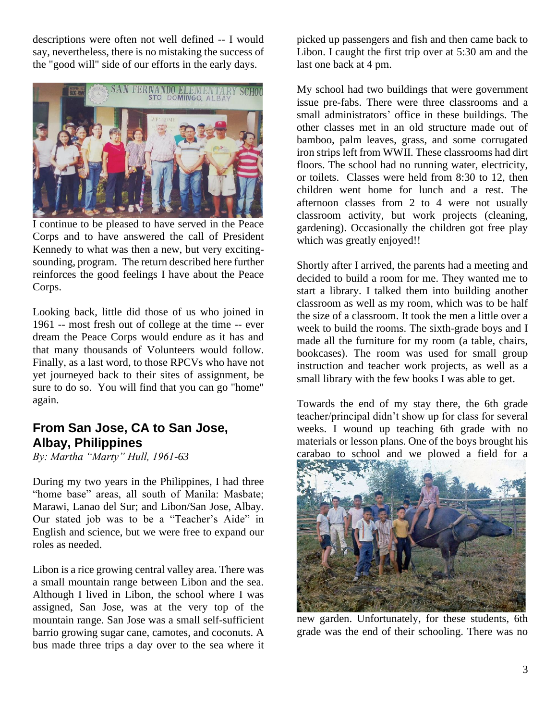descriptions were often not well defined -- I would say, nevertheless, there is no mistaking the success of the "good will" side of our efforts in the early days.



I continue to be pleased to have served in the Peace Corps and to have answered the call of President Kennedy to what was then a new, but very excitingsounding, program. The return described here further reinforces the good feelings I have about the Peace Corps.

Looking back, little did those of us who joined in 1961 -- most fresh out of college at the time -- ever dream the Peace Corps would endure as it has and that many thousands of Volunteers would follow. Finally, as a last word, to those RPCVs who have not yet journeyed back to their sites of assignment, be sure to do so. You will find that you can go "home" again.

#### **From San Jose, CA to San Jose, Albay, Philippines**

*By: Martha "Marty" Hull, 1961-63*

During my two years in the Philippines, I had three "home base" areas, all south of Manila: Masbate; Marawi, Lanao del Sur; and Libon/San Jose, Albay. Our stated job was to be a "Teacher's Aide" in English and science, but we were free to expand our roles as needed.

Libon is a rice growing central valley area. There was a small mountain range between Libon and the sea. Although I lived in Libon, the school where I was assigned, San Jose, was at the very top of the mountain range. San Jose was a small self-sufficient barrio growing sugar cane, camotes, and coconuts. A bus made three trips a day over to the sea where it

picked up passengers and fish and then came back to Libon. I caught the first trip over at 5:30 am and the last one back at 4 pm.

My school had two buildings that were government issue pre-fabs. There were three classrooms and a small administrators' office in these buildings. The other classes met in an old structure made out of bamboo, palm leaves, grass, and some corrugated iron strips left from WWII. These classrooms had dirt floors. The school had no running water, electricity, or toilets. Classes were held from 8:30 to 12, then children went home for lunch and a rest. The afternoon classes from 2 to 4 were not usually classroom activity, but work projects (cleaning, gardening). Occasionally the children got free play which was greatly enjoyed!!

Shortly after I arrived, the parents had a meeting and decided to build a room for me. They wanted me to start a library. I talked them into building another classroom as well as my room, which was to be half the size of a classroom. It took the men a little over a week to build the rooms. The sixth-grade boys and I made all the furniture for my room (a table, chairs, bookcases). The room was used for small group instruction and teacher work projects, as well as a small library with the few books I was able to get.

Towards the end of my stay there, the 6th grade teacher/principal didn't show up for class for several weeks. I wound up teaching 6th grade with no materials or lesson plans. One of the boys brought his carabao to school and we plowed a field for a



new garden. Unfortunately, for these students, 6th grade was the end of their schooling. There was no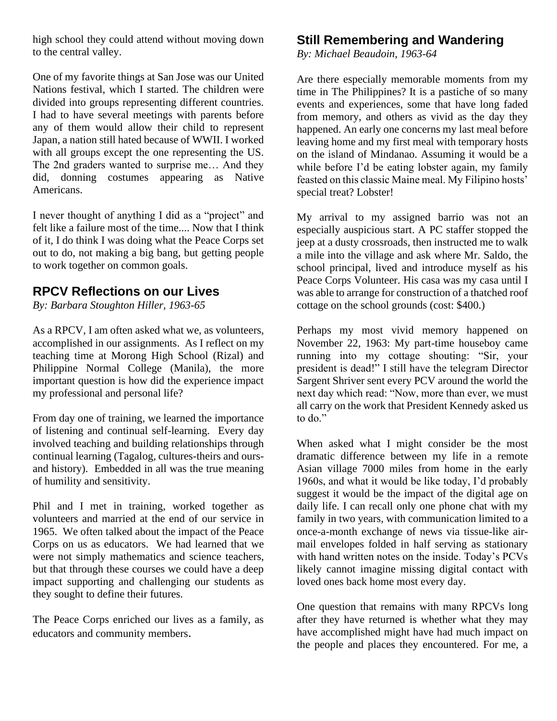high school they could attend without moving down to the central valley.

One of my favorite things at San Jose was our United Nations festival, which I started. The children were divided into groups representing different countries. I had to have several meetings with parents before any of them would allow their child to represent Japan, a nation still hated because of WWII. I worked with all groups except the one representing the US. The 2nd graders wanted to surprise me… And they did, donning costumes appearing as Native Americans.

I never thought of anything I did as a "project" and felt like a failure most of the time.... Now that I think of it, I do think I was doing what the Peace Corps set out to do, not making a big bang, but getting people to work together on common goals.

#### **RPCV Reflections on our Lives**

*By: Barbara Stoughton Hiller, 1963-65*

As a RPCV, I am often asked what we, as volunteers, accomplished in our assignments. As I reflect on my teaching time at Morong High School (Rizal) and Philippine Normal College (Manila), the more important question is how did the experience impact my professional and personal life?

From day one of training, we learned the importance of listening and continual self-learning. Every day involved teaching and building relationships through continual learning (Tagalog, cultures-theirs and oursand history). Embedded in all was the true meaning of humility and sensitivity.

Phil and I met in training, worked together as volunteers and married at the end of our service in 1965. We often talked about the impact of the Peace Corps on us as educators. We had learned that we were not simply mathematics and science teachers, but that through these courses we could have a deep impact supporting and challenging our students as they sought to define their futures.

The Peace Corps enriched our lives as a family, as educators and community members.

### **Still Remembering and Wandering**

*By: Michael Beaudoin, 1963-64*

Are there especially memorable moments from my time in The Philippines? It is a pastiche of so many events and experiences, some that have long faded from memory, and others as vivid as the day they happened. An early one concerns my last meal before leaving home and my first meal with temporary hosts on the island of Mindanao. Assuming it would be a while before I'd be eating lobster again, my family feasted on this classic Maine meal. My Filipino hosts' special treat? Lobster!

My arrival to my assigned barrio was not an especially auspicious start. A PC staffer stopped the jeep at a dusty crossroads, then instructed me to walk a mile into the village and ask where Mr. Saldo, the school principal, lived and introduce myself as his Peace Corps Volunteer. His casa was my casa until I was able to arrange for construction of a thatched roof cottage on the school grounds (cost: \$400.)

Perhaps my most vivid memory happened on November 22, 1963: My part-time houseboy came running into my cottage shouting: "Sir, your president is dead!" I still have the telegram Director Sargent Shriver sent every PCV around the world the next day which read: "Now, more than ever, we must all carry on the work that President Kennedy asked us to do."

When asked what I might consider be the most dramatic difference between my life in a remote Asian village 7000 miles from home in the early 1960s, and what it would be like today, I'd probably suggest it would be the impact of the digital age on daily life. I can recall only one phone chat with my family in two years, with communication limited to a once-a-month exchange of news via tissue-like airmail envelopes folded in half serving as stationary with hand written notes on the inside. Today's PCVs likely cannot imagine missing digital contact with loved ones back home most every day.

One question that remains with many RPCVs long after they have returned is whether what they may have accomplished might have had much impact on the people and places they encountered. For me, a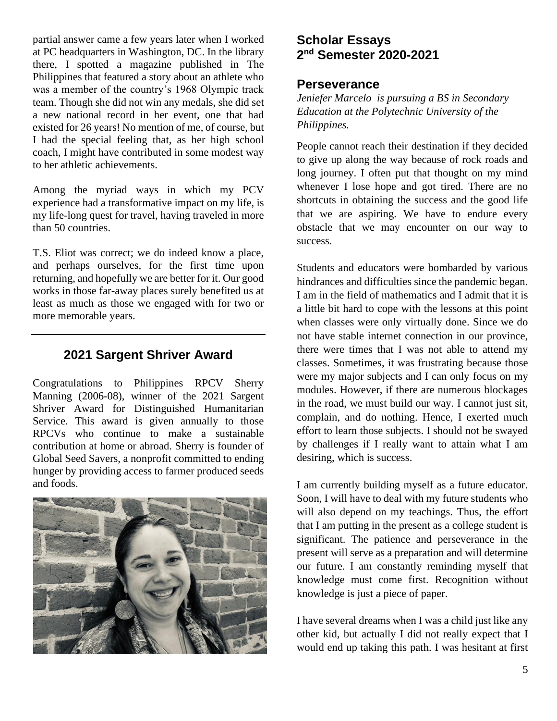partial answer came a few years later when I worked at PC headquarters in Washington, DC. In the library there, I spotted a magazine published in The Philippines that featured a story about an athlete who was a member of the country's 1968 Olympic track team. Though she did not win any medals, she did set a new national record in her event, one that had existed for 26 years! No mention of me, of course, but I had the special feeling that, as her high school coach, I might have contributed in some modest way to her athletic achievements.

Among the myriad ways in which my PCV experience had a transformative impact on my life, is my life-long quest for travel, having traveled in more than 50 countries.

T.S. Eliot was correct; we do indeed know a place, and perhaps ourselves, for the first time upon returning, and hopefully we are better for it. Our good works in those far-away places surely benefited us at least as much as those we engaged with for two or more memorable years.

#### **2021 Sargent Shriver Award**

Congratulations to Philippines RPCV Sherry Manning (2006-08), winner of the 2021 Sargent Shriver Award for Distinguished Humanitarian Service. This award is given annually to those RPCVs who continue to make a sustainable contribution at home or abroad. Sherry is founder of Global Seed Savers, a nonprofit committed to ending hunger by providing access to farmer produced seeds and foods.



### **Scholar Essays 2 nd Semester 2020-2021**

#### **Perseverance**

*Jeniefer Marcelo is pursuing a BS in Secondary Education at the Polytechnic University of the Philippines.*

People cannot reach their destination if they decided to give up along the way because of rock roads and long journey. I often put that thought on my mind whenever I lose hope and got tired. There are no shortcuts in obtaining the success and the good life that we are aspiring. We have to endure every obstacle that we may encounter on our way to success.

Students and educators were bombarded by various hindrances and difficulties since the pandemic began. I am in the field of mathematics and I admit that it is a little bit hard to cope with the lessons at this point when classes were only virtually done. Since we do not have stable internet connection in our province, there were times that I was not able to attend my classes. Sometimes, it was frustrating because those were my major subjects and I can only focus on my modules. However, if there are numerous blockages in the road, we must build our way. I cannot just sit, complain, and do nothing. Hence, I exerted much effort to learn those subjects. I should not be swayed by challenges if I really want to attain what I am desiring, which is success.

I am currently building myself as a future educator. Soon, I will have to deal with my future students who will also depend on my teachings. Thus, the effort that I am putting in the present as a college student is significant. The patience and perseverance in the present will serve as a preparation and will determine our future. I am constantly reminding myself that knowledge must come first. Recognition without knowledge is just a piece of paper.

I have several dreams when I was a child just like any other kid, but actually I did not really expect that I would end up taking this path. I was hesitant at first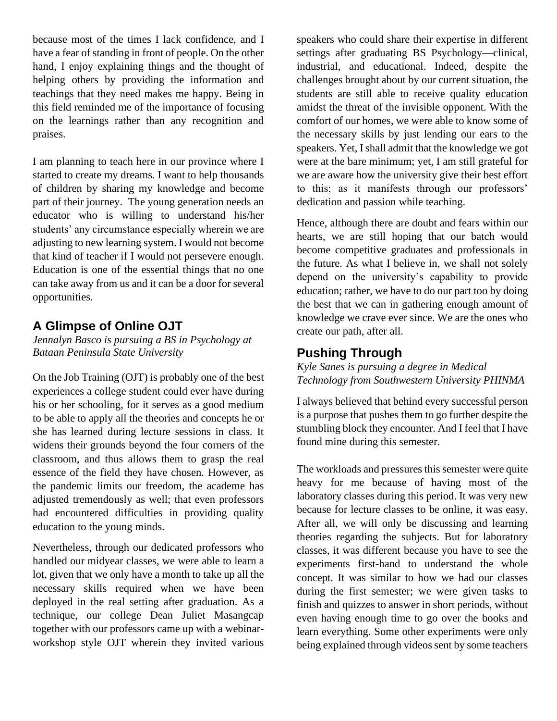because most of the times I lack confidence, and I have a fear of standing in front of people. On the other hand, I enjoy explaining things and the thought of helping others by providing the information and teachings that they need makes me happy. Being in this field reminded me of the importance of focusing on the learnings rather than any recognition and praises.

I am planning to teach here in our province where I started to create my dreams. I want to help thousands of children by sharing my knowledge and become part of their journey. The young generation needs an educator who is willing to understand his/her students' any circumstance especially wherein we are adjusting to new learning system. I would not become that kind of teacher if I would not persevere enough. Education is one of the essential things that no one can take away from us and it can be a door for several opportunities.

#### **A Glimpse of Online OJT**

*Jennalyn Basco is pursuing a BS in Psychology at Bataan Peninsula State University*

On the Job Training (OJT) is probably one of the best experiences a college student could ever have during his or her schooling, for it serves as a good medium to be able to apply all the theories and concepts he or she has learned during lecture sessions in class. It widens their grounds beyond the four corners of the classroom, and thus allows them to grasp the real essence of the field they have chosen. However, as the pandemic limits our freedom, the academe has adjusted tremendously as well; that even professors had encountered difficulties in providing quality education to the young minds.

Nevertheless, through our dedicated professors who handled our midyear classes, we were able to learn a lot, given that we only have a month to take up all the necessary skills required when we have been deployed in the real setting after graduation. As a technique, our college Dean Juliet Masangcap together with our professors came up with a webinarworkshop style OJT wherein they invited various

speakers who could share their expertise in different settings after graduating BS Psychology—clinical, industrial, and educational. Indeed, despite the challenges brought about by our current situation, the students are still able to receive quality education amidst the threat of the invisible opponent. With the comfort of our homes, we were able to know some of the necessary skills by just lending our ears to the speakers. Yet, I shall admit that the knowledge we got were at the bare minimum; yet, I am still grateful for we are aware how the university give their best effort to this; as it manifests through our professors' dedication and passion while teaching.

Hence, although there are doubt and fears within our hearts, we are still hoping that our batch would become competitive graduates and professionals in the future. As what I believe in, we shall not solely depend on the university's capability to provide education; rather, we have to do our part too by doing the best that we can in gathering enough amount of knowledge we crave ever since. We are the ones who create our path, after all.

### **Pushing Through**

*Kyle Sanes is pursuing a degree in Medical Technology from Southwestern University PHINMA*

I always believed that behind every successful person is a purpose that pushes them to go further despite the stumbling block they encounter. And I feel that I have found mine during this semester.

The workloads and pressures this semester were quite heavy for me because of having most of the laboratory classes during this period. It was very new because for lecture classes to be online, it was easy. After all, we will only be discussing and learning theories regarding the subjects. But for laboratory classes, it was different because you have to see the experiments first-hand to understand the whole concept. It was similar to how we had our classes during the first semester; we were given tasks to finish and quizzes to answer in short periods, without even having enough time to go over the books and learn everything. Some other experiments were only being explained through videos sent by some teachers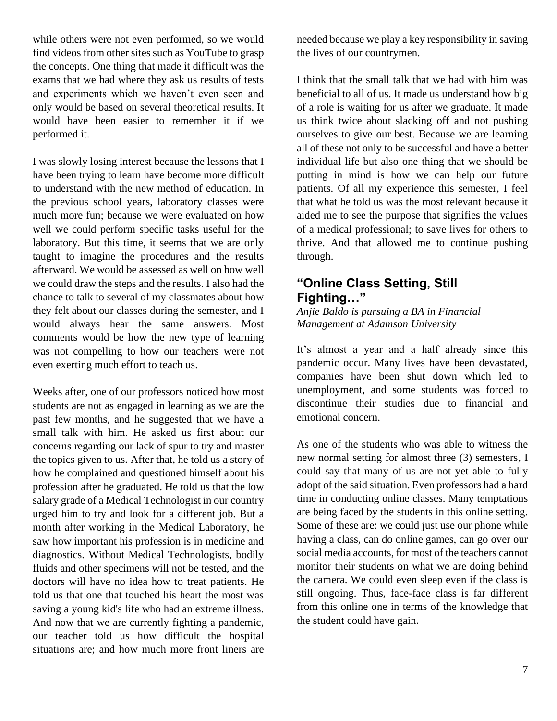while others were not even performed, so we would find videos from other sites such as YouTube to grasp the concepts. One thing that made it difficult was the exams that we had where they ask us results of tests and experiments which we haven't even seen and only would be based on several theoretical results. It would have been easier to remember it if we performed it.

I was slowly losing interest because the lessons that I have been trying to learn have become more difficult to understand with the new method of education. In the previous school years, laboratory classes were much more fun; because we were evaluated on how well we could perform specific tasks useful for the laboratory. But this time, it seems that we are only taught to imagine the procedures and the results afterward. We would be assessed as well on how well we could draw the steps and the results. I also had the chance to talk to several of my classmates about how they felt about our classes during the semester, and I would always hear the same answers. Most comments would be how the new type of learning was not compelling to how our teachers were not even exerting much effort to teach us.

Weeks after, one of our professors noticed how most students are not as engaged in learning as we are the past few months, and he suggested that we have a small talk with him. He asked us first about our concerns regarding our lack of spur to try and master the topics given to us. After that, he told us a story of how he complained and questioned himself about his profession after he graduated. He told us that the low salary grade of a Medical Technologist in our country urged him to try and look for a different job. But a month after working in the Medical Laboratory, he saw how important his profession is in medicine and diagnostics. Without Medical Technologists, bodily fluids and other specimens will not be tested, and the doctors will have no idea how to treat patients. He told us that one that touched his heart the most was saving a young kid's life who had an extreme illness. And now that we are currently fighting a pandemic, our teacher told us how difficult the hospital situations are; and how much more front liners are

needed because we play a key responsibility in saving the lives of our countrymen.

I think that the small talk that we had with him was beneficial to all of us. It made us understand how big of a role is waiting for us after we graduate. It made us think twice about slacking off and not pushing ourselves to give our best. Because we are learning all of these not only to be successful and have a better individual life but also one thing that we should be putting in mind is how we can help our future patients. Of all my experience this semester, I feel that what he told us was the most relevant because it aided me to see the purpose that signifies the values of a medical professional; to save lives for others to thrive. And that allowed me to continue pushing through.

#### **"Online Class Setting, Still Fighting…"**

#### *Anjie Baldo is pursuing a BA in Financial Management at Adamson University*

It's almost a year and a half already since this pandemic occur. Many lives have been devastated, companies have been shut down which led to unemployment, and some students was forced to discontinue their studies due to financial and emotional concern.

As one of the students who was able to witness the new normal setting for almost three (3) semesters, I could say that many of us are not yet able to fully adopt of the said situation. Even professors had a hard time in conducting online classes. Many temptations are being faced by the students in this online setting. Some of these are: we could just use our phone while having a class, can do online games, can go over our social media accounts, for most of the teachers cannot monitor their students on what we are doing behind the camera. We could even sleep even if the class is still ongoing. Thus, face-face class is far different from this online one in terms of the knowledge that the student could have gain.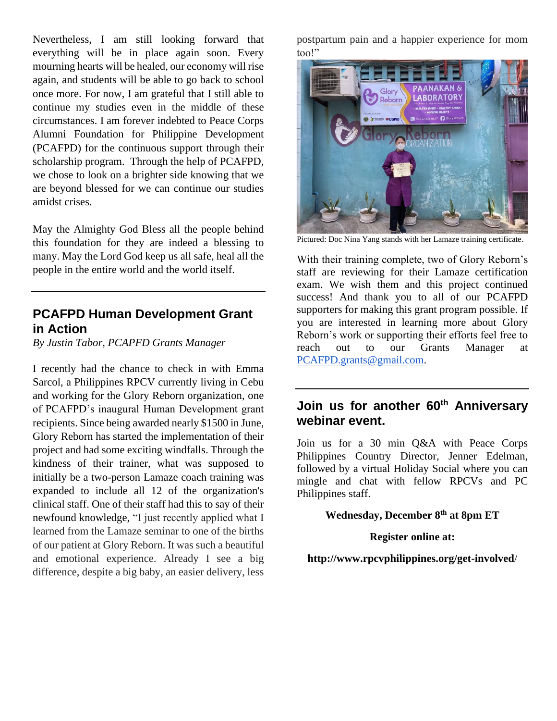Nevertheless, I am still looking forward that everything will be in place again soon. Every mourning hearts will be healed, our economy will rise again, and students will be able to go back to school once more. For now, I am grateful that I still able to continue my studies even in the middle of these circumstances. I am forever indebted to Peace Corps Alumni Foundation for Philippine Development (PCAFPD) for the continuous support through their scholarship program. Through the help of PCAFPD, we chose to look on a brighter side knowing that we are beyond blessed for we can continue our studies amidst crises.

May the Almighty God Bless all the people behind this foundation for they are indeed a blessing to many. May the Lord God keep us all safe, heal all the people in the entire world and the world itself.

#### **PCAFPD Human Development Grant in Action**

*By Justin Tabor, PCAPFD Grants Manager*

I recently had the chance to check in with Emma Sarcol, a Philippines RPCV currently living in Cebu and working for the Glory Reborn organization, one of PCAFPD's inaugural Human Development grant recipients. Since being awarded nearly \$1500 in June, Glory Reborn has started the implementation of their project and had some exciting windfalls. Through the kindness of their trainer, what was supposed to initially be a two-person Lamaze coach training was expanded to include all 12 of the organization's clinical staff. One of their staff had this to say of their newfound knowledge, "I just recently applied what I learned from the Lamaze seminar to one of the births of our patient at Glory Reborn. It was such a beautiful and emotional experience. Already I see a big difference, despite a big baby, an easier delivery, less

postpartum pain and a happier experience for mom too!"



Pictured: Doc Nina Yang stands with her Lamaze training certificate.

With their training complete, two of Glory Reborn's staff are reviewing for their Lamaze certification exam. We wish them and this project continued success! And thank you to all of our PCAFPD supporters for making this grant program possible. If you are interested in learning more about Glory Reborn's work or supporting their efforts feel free to reach out to our Grants Manager at [PCAFPD.grants@gmail.com.](mailto:PCAFPD.grants@gmail.com)

#### **Join us for another 60th Anniversary webinar event.**

Join us for a 30 min Q&A with Peace Corps Philippines Country Director, Jenner Edelman, followed by a virtual Holiday Social where you can mingle and chat with fellow RPCVs and PC Philippines staff.

#### **Wednesday, December 8th at 8pm ET**

#### **Register online at:**

**http://www.rpcvphilippines.org/get-involved**/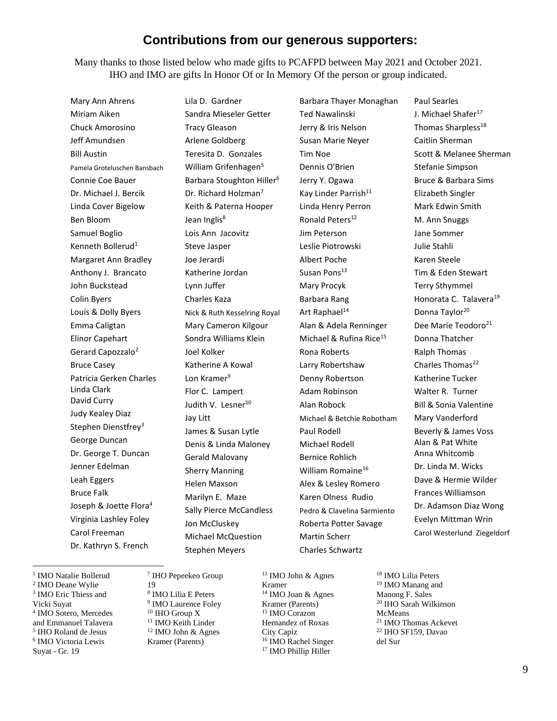#### **Contributions from our generous supporters:**

Many thanks to those listed below who made gifts to PCAFPD between May 2021 and October 2021. IHO and IMO are gifts In Honor Of or In Memory Of the person or group indicated.

Mary Ann Ahrens Miriam Aiken Chuck Amorosino Jeff Amundsen Bill Austin Pamela Groteluschen Bansbach Connie Coe Bauer Dr. Michael J. Bercik Linda Cover Bigelow Ben Bloom Samuel Boglio Kenneth Bollerud<sup>1</sup> Margaret Ann Bradley Anthony J. Brancato John Buckstead Colin Byers Louis & Dolly Byers Emma Caligtan Elinor Capehart Gerard Capozzalo<sup>2</sup> Bruce Casey Patricia Gerken Charles Linda Clark David Curry Judy Kealey Diaz Stephen Dienstfrey<sup>3</sup> George Duncan Dr. George T. Duncan Jenner Edelman Leah Eggers Bruce Falk Joseph & Joette Flora<sup>4</sup> Virginia Lashley Foley Carol Freeman Dr. Kathryn S. French

Lila D. Gardner Sandra Mieseler Getter Tracy Gleason Arlene Goldberg Teresita D. Gonzales William Grifenhagen<sup>5</sup> Barbara Stoughton Hiller<sup>6</sup> Dr. Richard Holzman<sup>7</sup> Keith & Paterna Hooper Jean Inglis<sup>8</sup> Lois Ann Jacovitz Steve Jasper Joe Jerardi Katherine Jordan Lynn Juffer Charles Kaza Nick & Ruth Kesselring Royal Mary Cameron Kilgour Sondra Williams Klein Joel Kolker Katherine A Kowal Lon Kramer<sup>9</sup> Flor C. Lampert Judith V. Lesner<sup>10</sup> Jay Litt James & Susan Lytle Denis & Linda Maloney Gerald Malovany Sherry Manning Helen Maxson Marilyn E. Maze Sally Pierce McCandless Jon McCluskey Michael McQuestion Stephen Meyers

Barbara Thayer Monaghan Ted Nawalinski Jerry & Iris Nelson Susan Marie Neyer Tim Noe Dennis O'Brien Jerry Y. Ogawa Kay Linder Parrish<sup>11</sup> Linda Henry Perron Ronald Peters<sup>12</sup> Jim Peterson Leslie Piotrowski Albert Poche Susan Pons<sup>13</sup> Mary Procyk Barbara Rang Art Raphael<sup>14</sup> Alan & Adela Renninger Michael & Rufina Rice<sup>15</sup> Rona Roberts Larry Robertshaw Denny Robertson Adam Robinson Alan Robock Michael & Betchie Robotham Paul Rodell Michael Rodell Bernice Rohlich William Romaine<sup>16</sup> Alex & Lesley Romero Karen Olness Rudio Pedro & Clavelina Sarmiento Roberta Potter Savage Martin Scherr Charles Schwartz

Paul Searles J. Michael Shafer<sup>17</sup> Thomas Sharpless<sup>18</sup> Caitlin Sherman Scott & Melanee Sherman Stefanie Simpson Bruce & Barbara Sims Elizabeth Singler Mark Edwin Smith M. Ann Snuggs Jane Sommer Julie Stahli Karen Steele Tim & Eden Stewart Terry Sthymmel Honorata C. Talavera<sup>19</sup> Donna Taylor<sup>20</sup> Dee Marie Teodoro<sup>21</sup> Donna Thatcher Ralph Thomas Charles Thomas<sup>22</sup> Katherine Tucker Walter R. Turner Bill & Sonia Valentine Mary Vanderford Beverly & James Voss Alan & Pat White Anna Whitcomb Dr. Linda M. Wicks Dave & Hermie Wilder Frances Williamson Dr. Adamson Diaz Wong Evelyn Mittman Wrin Carol Westerlund Ziegeldorf

<sup>1</sup> IMO Natalie Bollerud IMO Deane Wylie IMO Eric Thiess and IMO Sotero, Mercedes and Emmanuel Talavera IHO Roland de Jesus IMO Victoria Lewis IHO Pepeekeo Group 19 IHO Group X

Vicki Suyat

Suyat - Gr. 19

8 IMO Lilia E Peters <sup>9</sup> IMO Laurence Foley <sup>11</sup> IMO Keith Linder <sup>12</sup> IMO John & Agnes Kramer (Parents)

<sup>13</sup> IMO John & Agnes Kramer <sup>14</sup> IMO Joan & Agnes Kramer (Parents) <sup>15</sup> IMO Corazon Hernandez of Roxas City Capiz <sup>16</sup> IMO Rachel Singer <sup>17</sup> IMO Phillip Hiller

 IMO Lilia Peters IMO Manang and Manong F. Sales IHO Sarah Wilkinson McMeans IMO Thomas Ackevet IHO SF159, Davao del Sur